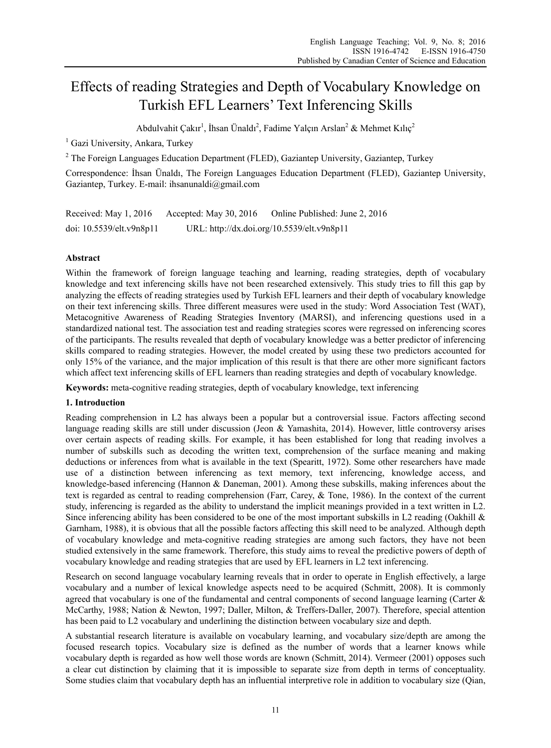# Effects of reading Strategies and Depth of Vocabulary Knowledge on Turkish EFL Learners' Text Inferencing Skills

Abdulvahit Çakır<sup>1</sup>, İhsan Ünaldı<sup>2</sup>, Fadime Yalçın Arslan<sup>2</sup> & Mehmet Kılıç<sup>2</sup>

<sup>1</sup> Gazi University, Ankara, Turkey

 $2$  The Foreign Languages Education Department (FLED), Gaziantep University, Gaziantep, Turkey

Correspondence: İhsan Ünaldı, The Foreign Languages Education Department (FLED), Gaziantep University, Gaziantep, Turkey. E-mail: ihsanunaldi@gmail.com

| Received: May 1, 2016    | Accepted: May 30, 2016 | Online Published: June 2, 2016             |
|--------------------------|------------------------|--------------------------------------------|
| doi: 10.5539/elt.v9n8p11 |                        | URL: http://dx.doi.org/10.5539/elt.v9n8p11 |

# **Abstract**

Within the framework of foreign language teaching and learning, reading strategies, depth of vocabulary knowledge and text inferencing skills have not been researched extensively. This study tries to fill this gap by analyzing the effects of reading strategies used by Turkish EFL learners and their depth of vocabulary knowledge on their text inferencing skills. Three different measures were used in the study: Word Association Test (WAT), Metacognitive Awareness of Reading Strategies Inventory (MARSI), and inferencing questions used in a standardized national test. The association test and reading strategies scores were regressed on inferencing scores of the participants. The results revealed that depth of vocabulary knowledge was a better predictor of inferencing skills compared to reading strategies. However, the model created by using these two predictors accounted for only 15% of the variance, and the major implication of this result is that there are other more significant factors which affect text inferencing skills of EFL learners than reading strategies and depth of vocabulary knowledge.

**Keywords:** meta-cognitive reading strategies, depth of vocabulary knowledge, text inferencing

# **1. Introduction**

Reading comprehension in L2 has always been a popular but a controversial issue. Factors affecting second language reading skills are still under discussion (Jeon & Yamashita, 2014). However, little controversy arises over certain aspects of reading skills. For example, it has been established for long that reading involves a number of subskills such as decoding the written text, comprehension of the surface meaning and making deductions or inferences from what is available in the text (Spearitt, 1972). Some other researchers have made use of a distinction between inferencing as text memory, text inferencing, knowledge access, and knowledge-based inferencing (Hannon & Daneman, 2001). Among these subskills, making inferences about the text is regarded as central to reading comprehension (Farr, Carey, & Tone, 1986). In the context of the current study, inferencing is regarded as the ability to understand the implicit meanings provided in a text written in L2. Since inferencing ability has been considered to be one of the most important subskills in L2 reading (Oakhill  $\&$ Garnham, 1988), it is obvious that all the possible factors affecting this skill need to be analyzed. Although depth of vocabulary knowledge and meta-cognitive reading strategies are among such factors, they have not been studied extensively in the same framework. Therefore, this study aims to reveal the predictive powers of depth of vocabulary knowledge and reading strategies that are used by EFL learners in L2 text inferencing.

Research on second language vocabulary learning reveals that in order to operate in English effectively, a large vocabulary and a number of lexical knowledge aspects need to be acquired (Schmitt, 2008). It is commonly agreed that vocabulary is one of the fundamental and central components of second language learning (Carter & McCarthy, 1988; Nation & Newton, 1997; Daller, Milton, & Treffers-Daller, 2007). Therefore, special attention has been paid to L2 vocabulary and underlining the distinction between vocabulary size and depth.

A substantial research literature is available on vocabulary learning, and vocabulary size/depth are among the focused research topics. Vocabulary size is defined as the number of words that a learner knows while vocabulary depth is regarded as how well those words are known (Schmitt, 2014). Vermeer (2001) opposes such a clear cut distinction by claiming that it is impossible to separate size from depth in terms of conceptuality. Some studies claim that vocabulary depth has an influential interpretive role in addition to vocabulary size (Qian,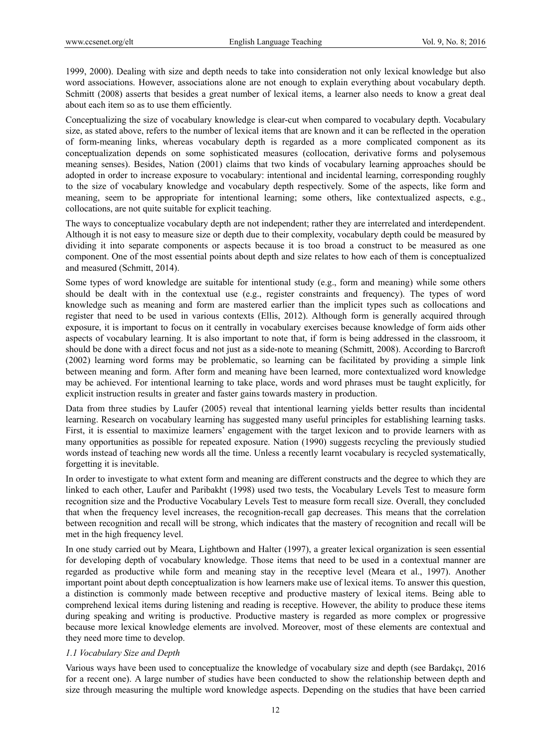1999, 2000). Dealing with size and depth needs to take into consideration not only lexical knowledge but also word associations. However, associations alone are not enough to explain everything about vocabulary depth. Schmitt (2008) asserts that besides a great number of lexical items, a learner also needs to know a great deal about each item so as to use them efficiently.

Conceptualizing the size of vocabulary knowledge is clear-cut when compared to vocabulary depth. Vocabulary size, as stated above, refers to the number of lexical items that are known and it can be reflected in the operation of form-meaning links, whereas vocabulary depth is regarded as a more complicated component as its conceptualization depends on some sophisticated measures (collocation, derivative forms and polysemous meaning senses). Besides, Nation (2001) claims that two kinds of vocabulary learning approaches should be adopted in order to increase exposure to vocabulary: intentional and incidental learning, corresponding roughly to the size of vocabulary knowledge and vocabulary depth respectively. Some of the aspects, like form and meaning, seem to be appropriate for intentional learning; some others, like contextualized aspects, e.g., collocations, are not quite suitable for explicit teaching.

The ways to conceptualize vocabulary depth are not independent; rather they are interrelated and interdependent. Although it is not easy to measure size or depth due to their complexity, vocabulary depth could be measured by dividing it into separate components or aspects because it is too broad a construct to be measured as one component. One of the most essential points about depth and size relates to how each of them is conceptualized and measured (Schmitt, 2014).

Some types of word knowledge are suitable for intentional study (e.g., form and meaning) while some others should be dealt with in the contextual use (e.g., register constraints and frequency). The types of word knowledge such as meaning and form are mastered earlier than the implicit types such as collocations and register that need to be used in various contexts (Ellis, 2012). Although form is generally acquired through exposure, it is important to focus on it centrally in vocabulary exercises because knowledge of form aids other aspects of vocabulary learning. It is also important to note that, if form is being addressed in the classroom, it should be done with a direct focus and not just as a side-note to meaning (Schmitt, 2008). According to Barcroft (2002) learning word forms may be problematic, so learning can be facilitated by providing a simple link between meaning and form. After form and meaning have been learned, more contextualized word knowledge may be achieved. For intentional learning to take place, words and word phrases must be taught explicitly, for explicit instruction results in greater and faster gains towards mastery in production.

Data from three studies by Laufer (2005) reveal that intentional learning yields better results than incidental learning. Research on vocabulary learning has suggested many useful principles for establishing learning tasks. First, it is essential to maximize learners' engagement with the target lexicon and to provide learners with as many opportunities as possible for repeated exposure. Nation (1990) suggests recycling the previously studied words instead of teaching new words all the time. Unless a recently learnt vocabulary is recycled systematically, forgetting it is inevitable.

In order to investigate to what extent form and meaning are different constructs and the degree to which they are linked to each other, Laufer and Paribakht (1998) used two tests, the Vocabulary Levels Test to measure form recognition size and the Productive Vocabulary Levels Test to measure form recall size. Overall, they concluded that when the frequency level increases, the recognition-recall gap decreases. This means that the correlation between recognition and recall will be strong, which indicates that the mastery of recognition and recall will be met in the high frequency level.

In one study carried out by Meara, Lightbown and Halter (1997), a greater lexical organization is seen essential for developing depth of vocabulary knowledge. Those items that need to be used in a contextual manner are regarded as productive while form and meaning stay in the receptive level (Meara et al., 1997). Another important point about depth conceptualization is how learners make use of lexical items. To answer this question, a distinction is commonly made between receptive and productive mastery of lexical items. Being able to comprehend lexical items during listening and reading is receptive. However, the ability to produce these items during speaking and writing is productive. Productive mastery is regarded as more complex or progressive because more lexical knowledge elements are involved. Moreover, most of these elements are contextual and they need more time to develop.

## *1.1 Vocabulary Size and Depth*

Various ways have been used to conceptualize the knowledge of vocabulary size and depth (see Bardakçı, 2016 for a recent one). A large number of studies have been conducted to show the relationship between depth and size through measuring the multiple word knowledge aspects. Depending on the studies that have been carried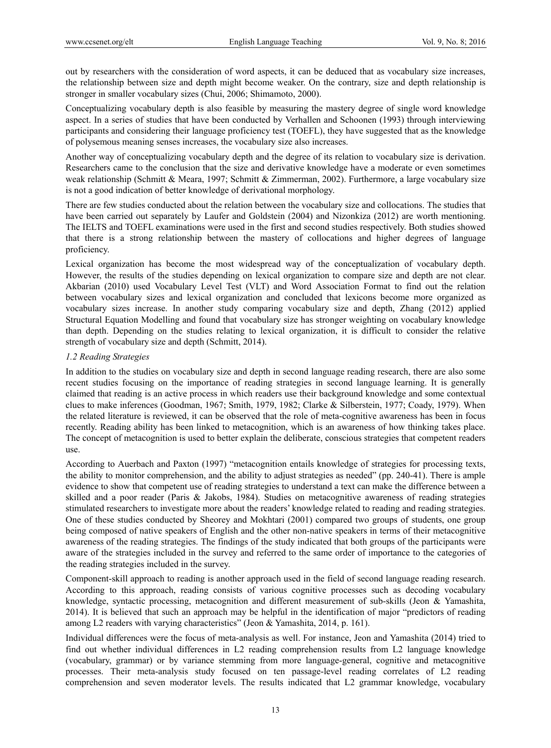out by researchers with the consideration of word aspects, it can be deduced that as vocabulary size increases, the relationship between size and depth might become weaker. On the contrary, size and depth relationship is stronger in smaller vocabulary sizes (Chui, 2006; Shimamoto, 2000).

Conceptualizing vocabulary depth is also feasible by measuring the mastery degree of single word knowledge aspect. In a series of studies that have been conducted by Verhallen and Schoonen (1993) through interviewing participants and considering their language proficiency test (TOEFL), they have suggested that as the knowledge of polysemous meaning senses increases, the vocabulary size also increases.

Another way of conceptualizing vocabulary depth and the degree of its relation to vocabulary size is derivation. Researchers came to the conclusion that the size and derivative knowledge have a moderate or even sometimes weak relationship (Schmitt & Meara, 1997; Schmitt & Zimmerman, 2002). Furthermore, a large vocabulary size is not a good indication of better knowledge of derivational morphology.

There are few studies conducted about the relation between the vocabulary size and collocations. The studies that have been carried out separately by Laufer and Goldstein (2004) and Nizonkiza (2012) are worth mentioning. The IELTS and TOEFL examinations were used in the first and second studies respectively. Both studies showed that there is a strong relationship between the mastery of collocations and higher degrees of language proficiency.

Lexical organization has become the most widespread way of the conceptualization of vocabulary depth. However, the results of the studies depending on lexical organization to compare size and depth are not clear. Akbarian (2010) used Vocabulary Level Test (VLT) and Word Association Format to find out the relation between vocabulary sizes and lexical organization and concluded that lexicons become more organized as vocabulary sizes increase. In another study comparing vocabulary size and depth, Zhang (2012) applied Structural Equation Modelling and found that vocabulary size has stronger weighting on vocabulary knowledge than depth. Depending on the studies relating to lexical organization, it is difficult to consider the relative strength of vocabulary size and depth (Schmitt, 2014).

## *1.2 Reading Strategies*

In addition to the studies on vocabulary size and depth in second language reading research, there are also some recent studies focusing on the importance of reading strategies in second language learning. It is generally claimed that reading is an active process in which readers use their background knowledge and some contextual clues to make inferences (Goodman, 1967; Smith, 1979, 1982; Clarke & Silberstein, 1977; Coady, 1979). When the related literature is reviewed, it can be observed that the role of meta-cognitive awareness has been in focus recently. Reading ability has been linked to metacognition, which is an awareness of how thinking takes place. The concept of metacognition is used to better explain the deliberate, conscious strategies that competent readers use.

According to Auerbach and Paxton (1997) "metacognition entails knowledge of strategies for processing texts, the ability to monitor comprehension, and the ability to adjust strategies as needed" (pp. 240-41). There is ample evidence to show that competent use of reading strategies to understand a text can make the difference between a skilled and a poor reader (Paris & Jakobs, 1984). Studies on metacognitive awareness of reading strategies stimulated researchers to investigate more about the readers' knowledge related to reading and reading strategies. One of these studies conducted by Sheorey and Mokhtari (2001) compared two groups of students, one group being composed of native speakers of English and the other non-native speakers in terms of their metacognitive awareness of the reading strategies. The findings of the study indicated that both groups of the participants were aware of the strategies included in the survey and referred to the same order of importance to the categories of the reading strategies included in the survey.

Component-skill approach to reading is another approach used in the field of second language reading research. According to this approach, reading consists of various cognitive processes such as decoding vocabulary knowledge, syntactic processing, metacognition and different measurement of sub-skills (Jeon & Yamashita, 2014). It is believed that such an approach may be helpful in the identification of major "predictors of reading among L2 readers with varying characteristics" (Jeon & Yamashita, 2014, p. 161).

Individual differences were the focus of meta-analysis as well. For instance, Jeon and Yamashita (2014) tried to find out whether individual differences in L2 reading comprehension results from L2 language knowledge (vocabulary, grammar) or by variance stemming from more language-general, cognitive and metacognitive processes. Their meta-analysis study focused on ten passage-level reading correlates of L2 reading comprehension and seven moderator levels. The results indicated that L2 grammar knowledge, vocabulary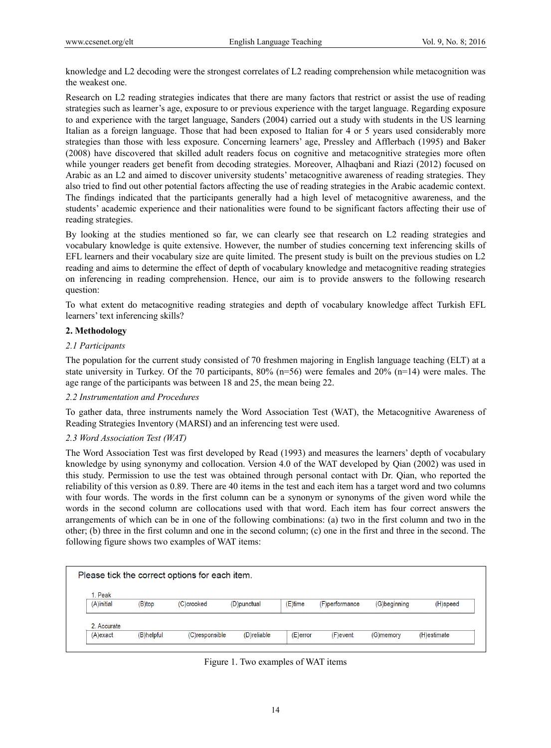knowledge and L2 decoding were the strongest correlates of L2 reading comprehension while metacognition was the weakest one.

Research on L2 reading strategies indicates that there are many factors that restrict or assist the use of reading strategies such as learner's age, exposure to or previous experience with the target language. Regarding exposure to and experience with the target language, Sanders (2004) carried out a study with students in the US learning Italian as a foreign language. Those that had been exposed to Italian for 4 or 5 years used considerably more strategies than those with less exposure. Concerning learners' age, Pressley and Afflerbach (1995) and Baker (2008) have discovered that skilled adult readers focus on cognitive and metacognitive strategies more often while younger readers get benefit from decoding strategies. Moreover, Alhaqbani and Riazi (2012) focused on Arabic as an L2 and aimed to discover university students' metacognitive awareness of reading strategies. They also tried to find out other potential factors affecting the use of reading strategies in the Arabic academic context. The findings indicated that the participants generally had a high level of metacognitive awareness, and the students' academic experience and their nationalities were found to be significant factors affecting their use of reading strategies.

By looking at the studies mentioned so far, we can clearly see that research on L2 reading strategies and vocabulary knowledge is quite extensive. However, the number of studies concerning text inferencing skills of EFL learners and their vocabulary size are quite limited. The present study is built on the previous studies on L2 reading and aims to determine the effect of depth of vocabulary knowledge and metacognitive reading strategies on inferencing in reading comprehension. Hence, our aim is to provide answers to the following research question:

To what extent do metacognitive reading strategies and depth of vocabulary knowledge affect Turkish EFL learners' text inferencing skills?

## **2. Methodology**

## *2.1 Participants*

The population for the current study consisted of 70 freshmen majoring in English language teaching (ELT) at a state university in Turkey. Of the 70 participants, 80% (n=56) were females and 20% (n=14) were males. The age range of the participants was between 18 and 25, the mean being 22.

## *2.2 Instrumentation and Procedures*

To gather data, three instruments namely the Word Association Test (WAT), the Metacognitive Awareness of Reading Strategies Inventory (MARSI) and an inferencing test were used.

## *2.3 Word Association Test (WAT)*

The Word Association Test was first developed by Read (1993) and measures the learners' depth of vocabulary knowledge by using synonymy and collocation. Version 4.0 of the WAT developed by Qian (2002) was used in this study. Permission to use the test was obtained through personal contact with Dr. Qian, who reported the reliability of this version as 0.89. There are 40 items in the test and each item has a target word and two columns with four words. The words in the first column can be a synonym or synonyms of the given word while the words in the second column are collocations used with that word. Each item has four correct answers the arrangements of which can be in one of the following combinations: (a) two in the first column and two in the other; (b) three in the first column and one in the second column; (c) one in the first and three in the second. The following figure shows two examples of WAT items:

| 1. Peak     |            |                |              |             |                |              |             |
|-------------|------------|----------------|--------------|-------------|----------------|--------------|-------------|
| (A)initial  | $(B)$ top  | (C)crooked     | (D) punctual | $(E)$ time  | (F)performance | (G)beginning | (H)speed    |
| 2. Accurate |            |                |              |             |                |              |             |
| $(A)$ exact | (B)helpful | (C)responsible | (D) reliable | $(E)$ error | $(F)$ event    | (G)memory    | (H)estimate |

Figure 1. Two examples of WAT items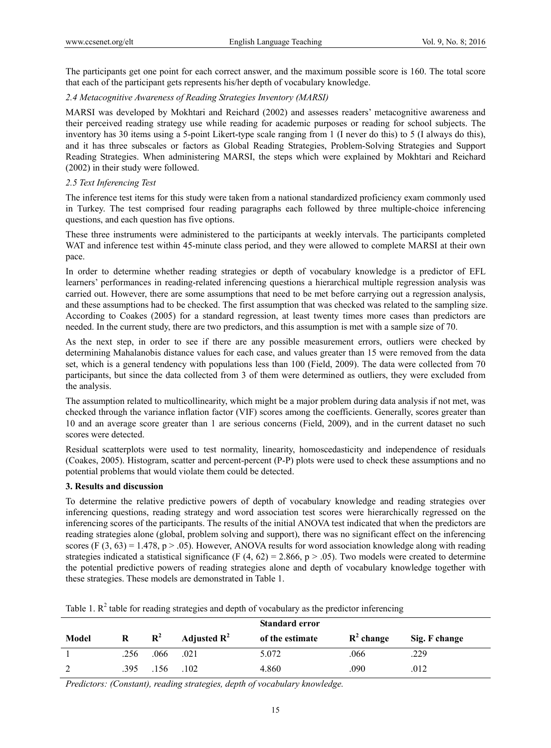The participants get one point for each correct answer, and the maximum possible score is 160. The total score that each of the participant gets represents his/her depth of vocabulary knowledge.

## *2.4 Metacognitive Awareness of Reading Strategies Inventory (MARSI)*

MARSI was developed by Mokhtari and Reichard (2002) and assesses readers' metacognitive awareness and their perceived reading strategy use while reading for academic purposes or reading for school subjects. The inventory has 30 items using a 5-point Likert-type scale ranging from 1 (I never do this) to 5 (I always do this), and it has three subscales or factors as Global Reading Strategies, Problem-Solving Strategies and Support Reading Strategies. When administering MARSI, the steps which were explained by Mokhtari and Reichard (2002) in their study were followed.

### *2.5 Text Inferencing Test*

The inference test items for this study were taken from a national standardized proficiency exam commonly used in Turkey. The test comprised four reading paragraphs each followed by three multiple-choice inferencing questions, and each question has five options.

These three instruments were administered to the participants at weekly intervals. The participants completed WAT and inference test within 45-minute class period, and they were allowed to complete MARSI at their own pace.

In order to determine whether reading strategies or depth of vocabulary knowledge is a predictor of EFL learners' performances in reading-related inferencing questions a hierarchical multiple regression analysis was carried out. However, there are some assumptions that need to be met before carrying out a regression analysis, and these assumptions had to be checked. The first assumption that was checked was related to the sampling size. According to Coakes (2005) for a standard regression, at least twenty times more cases than predictors are needed. In the current study, there are two predictors, and this assumption is met with a sample size of 70.

As the next step, in order to see if there are any possible measurement errors, outliers were checked by determining Mahalanobis distance values for each case, and values greater than 15 were removed from the data set, which is a general tendency with populations less than 100 (Field, 2009). The data were collected from 70 participants, but since the data collected from 3 of them were determined as outliers, they were excluded from the analysis.

The assumption related to multicollinearity, which might be a major problem during data analysis if not met, was checked through the variance inflation factor (VIF) scores among the coefficients. Generally, scores greater than 10 and an average score greater than 1 are serious concerns (Field, 2009), and in the current dataset no such scores were detected.

Residual scatterplots were used to test normality, linearity, homoscedasticity and independence of residuals (Coakes, 2005). Histogram, scatter and percent-percent (P-P) plots were used to check these assumptions and no potential problems that would violate them could be detected.

## **3. Results and discussion**

To determine the relative predictive powers of depth of vocabulary knowledge and reading strategies over inferencing questions, reading strategy and word association test scores were hierarchically regressed on the inferencing scores of the participants. The results of the initial ANOVA test indicated that when the predictors are reading strategies alone (global, problem solving and support), there was no significant effect on the inferencing scores (F  $(3, 63) = 1.478$ , p > .05). However, ANOVA results for word association knowledge along with reading strategies indicated a statistical significance (F  $(4, 62) = 2.866$ , p > .05). Two models were created to determine the potential predictive powers of reading strategies alone and depth of vocabulary knowledge together with these strategies. These models are demonstrated in Table 1.

|              |      |                |                         | <b>Standard error</b> |              |               |  |
|--------------|------|----------------|-------------------------|-----------------------|--------------|---------------|--|
| <b>Model</b> | R    | $\mathbb{R}^2$ | Adjusted $\mathbb{R}^2$ | of the estimate       | $R^2$ change | Sig. F change |  |
|              | .256 | .066           | .021                    | 5.072                 | .066         | .229          |  |
|              | .395 | .156           | .102                    | 4.860                 | .090         | .012          |  |

Table 1.  $\mathbb{R}^2$  table for reading strategies and depth of vocabulary as the predictor inferencing

*Predictors: (Constant), reading strategies, depth of vocabulary knowledge.*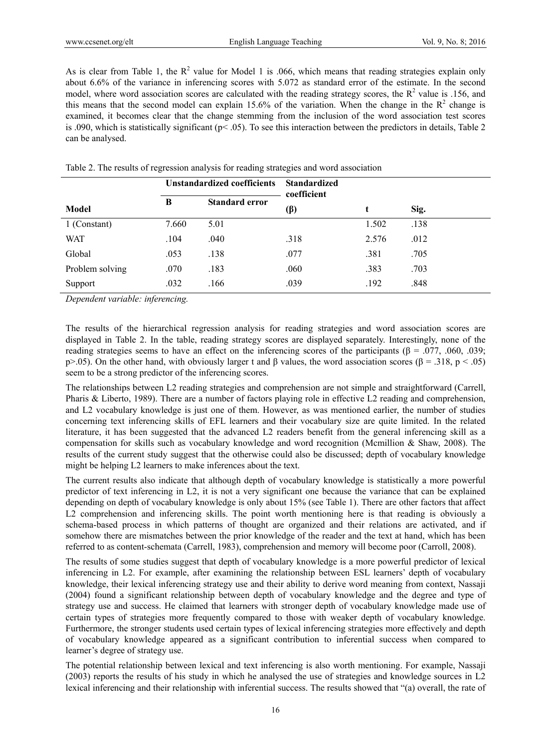As is clear from Table 1, the  $R^2$  value for Model 1 is .066, which means that reading strategies explain only about 6.6% of the variance in inferencing scores with 5.072 as standard error of the estimate. In the second model, where word association scores are calculated with the reading strategy scores, the  $R<sup>2</sup>$  value is .156, and this means that the second model can explain 15.6% of the variation. When the change in the  $R^2$  change is examined, it becomes clear that the change stemming from the inclusion of the word association test scores is .090, which is statistically significant ( $p$ < .05). To see this interaction between the predictors in details, Table 2 can be analysed.

|                 |       | Unstandardized coefficients | <b>Standardized</b><br>coefficient |       | Sig. |
|-----------------|-------|-----------------------------|------------------------------------|-------|------|
| Model           | B     | <b>Standard error</b>       | (ß)                                |       |      |
| 1 (Constant)    | 7.660 | 5.01                        |                                    | 1.502 | .138 |
| WAT             | .104  | .040                        | .318                               | 2.576 | .012 |
| Global          | .053  | .138                        | .077                               | .381  | .705 |
| Problem solving | .070  | .183                        | .060                               | .383  | .703 |
| Support         | .032  | .166                        | .039                               | .192  | .848 |

Table 2. The results of regression analysis for reading strategies and word association

*Dependent variable: inferencing.* 

The results of the hierarchical regression analysis for reading strategies and word association scores are displayed in Table 2. In the table, reading strategy scores are displayed separately. Interestingly, none of the reading strategies seems to have an effect on the inferencing scores of the participants (β = .077, .060, .039; p>.05). On the other hand, with obviously larger t and β values, the word association scores (β = .318, p < .05) seem to be a strong predictor of the inferencing scores.

The relationships between L2 reading strategies and comprehension are not simple and straightforward (Carrell, Pharis & Liberto, 1989). There are a number of factors playing role in effective L2 reading and comprehension, and L2 vocabulary knowledge is just one of them. However, as was mentioned earlier, the number of studies concerning text inferencing skills of EFL learners and their vocabulary size are quite limited. In the related literature, it has been suggested that the advanced L2 readers benefit from the general inferencing skill as a compensation for skills such as vocabulary knowledge and word recognition (Mcmillion & Shaw, 2008). The results of the current study suggest that the otherwise could also be discussed; depth of vocabulary knowledge might be helping L2 learners to make inferences about the text.

The current results also indicate that although depth of vocabulary knowledge is statistically a more powerful predictor of text inferencing in L2, it is not a very significant one because the variance that can be explained depending on depth of vocabulary knowledge is only about 15% (see Table 1). There are other factors that affect L2 comprehension and inferencing skills. The point worth mentioning here is that reading is obviously a schema-based process in which patterns of thought are organized and their relations are activated, and if somehow there are mismatches between the prior knowledge of the reader and the text at hand, which has been referred to as content-schemata (Carrell, 1983), comprehension and memory will become poor (Carroll, 2008).

The results of some studies suggest that depth of vocabulary knowledge is a more powerful predictor of lexical inferencing in L2. For example, after examining the relationship between ESL learners' depth of vocabulary knowledge, their lexical inferencing strategy use and their ability to derive word meaning from context, Nassaji (2004) found a significant relationship between depth of vocabulary knowledge and the degree and type of strategy use and success. He claimed that learners with stronger depth of vocabulary knowledge made use of certain types of strategies more frequently compared to those with weaker depth of vocabulary knowledge. Furthermore, the stronger students used certain types of lexical inferencing strategies more effectively and depth of vocabulary knowledge appeared as a significant contribution to inferential success when compared to learner's degree of strategy use.

The potential relationship between lexical and text inferencing is also worth mentioning. For example, Nassaji (2003) reports the results of his study in which he analysed the use of strategies and knowledge sources in L2 lexical inferencing and their relationship with inferential success. The results showed that "(a) overall, the rate of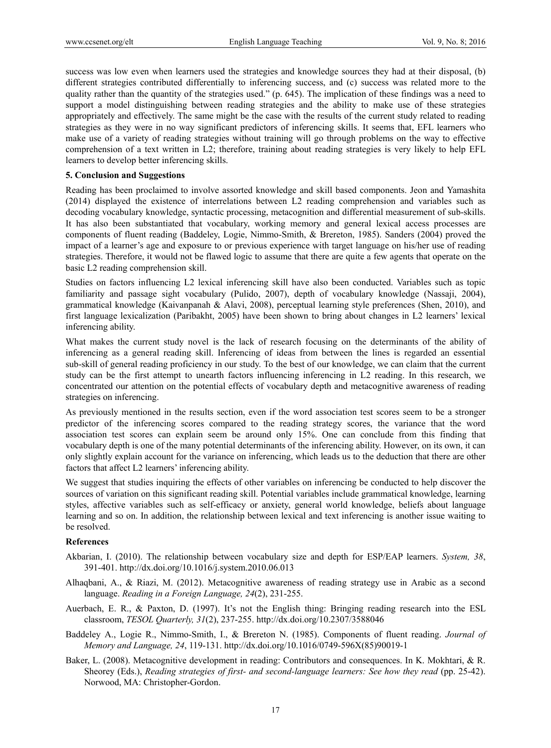success was low even when learners used the strategies and knowledge sources they had at their disposal, (b) different strategies contributed differentially to inferencing success, and (c) success was related more to the quality rather than the quantity of the strategies used." (p. 645). The implication of these findings was a need to support a model distinguishing between reading strategies and the ability to make use of these strategies appropriately and effectively. The same might be the case with the results of the current study related to reading strategies as they were in no way significant predictors of inferencing skills. It seems that, EFL learners who make use of a variety of reading strategies without training will go through problems on the way to effective comprehension of a text written in L2; therefore, training about reading strategies is very likely to help EFL learners to develop better inferencing skills.

#### **5. Conclusion and Suggestions**

Reading has been proclaimed to involve assorted knowledge and skill based components. Jeon and Yamashita (2014) displayed the existence of interrelations between L2 reading comprehension and variables such as decoding vocabulary knowledge, syntactic processing, metacognition and differential measurement of sub-skills. It has also been substantiated that vocabulary, working memory and general lexical access processes are components of fluent reading (Baddeley, Logie, Nimmo-Smith, & Brereton, 1985). Sanders (2004) proved the impact of a learner's age and exposure to or previous experience with target language on his/her use of reading strategies. Therefore, it would not be flawed logic to assume that there are quite a few agents that operate on the basic L2 reading comprehension skill.

Studies on factors influencing L2 lexical inferencing skill have also been conducted. Variables such as topic familiarity and passage sight vocabulary (Pulido, 2007), depth of vocabulary knowledge (Nassaji, 2004), grammatical knowledge (Kaivanpanah & Alavi, 2008), perceptual learning style preferences (Shen, 2010), and first language lexicalization (Paribakht, 2005) have been shown to bring about changes in L2 learners' lexical inferencing ability.

What makes the current study novel is the lack of research focusing on the determinants of the ability of inferencing as a general reading skill. Inferencing of ideas from between the lines is regarded an essential sub-skill of general reading proficiency in our study. To the best of our knowledge, we can claim that the current study can be the first attempt to unearth factors influencing inferencing in L2 reading. In this research, we concentrated our attention on the potential effects of vocabulary depth and metacognitive awareness of reading strategies on inferencing.

As previously mentioned in the results section, even if the word association test scores seem to be a stronger predictor of the inferencing scores compared to the reading strategy scores, the variance that the word association test scores can explain seem be around only 15%. One can conclude from this finding that vocabulary depth is one of the many potential determinants of the inferencing ability. However, on its own, it can only slightly explain account for the variance on inferencing, which leads us to the deduction that there are other factors that affect L2 learners' inferencing ability.

We suggest that studies inquiring the effects of other variables on inferencing be conducted to help discover the sources of variation on this significant reading skill. Potential variables include grammatical knowledge, learning styles, affective variables such as self-efficacy or anxiety, general world knowledge, beliefs about language learning and so on. In addition, the relationship between lexical and text inferencing is another issue waiting to be resolved.

#### **References**

- Akbarian, I. (2010). The relationship between vocabulary size and depth for ESP/EAP learners. *System, 38*, 391-401. http://dx.doi.org/10.1016/j.system.2010.06.013
- Alhaqbani, A., & Riazi, M. (2012). Metacognitive awareness of reading strategy use in Arabic as a second language. *Reading in a Foreign Language, 24*(2), 231-255.
- Auerbach, E. R., & Paxton, D. (1997). It's not the English thing: Bringing reading research into the ESL classroom, *TESOL Quarterly, 31*(2), 237-255. http://dx.doi.org/10.2307/3588046
- Baddeley A., Logie R., Nimmo-Smith, I., & Brereton N. (1985). Components of fluent reading. *Journal of Memory and Language, 24*, 119-131. http://dx.doi.org/10.1016/0749-596X(85)90019-1
- Baker, L. (2008). Metacognitive development in reading: Contributors and consequences. In K. Mokhtari, & R. Sheorey (Eds.), *Reading strategies of first- and second-language learners: See how they read* (pp. 25-42). Norwood, MA: Christopher-Gordon.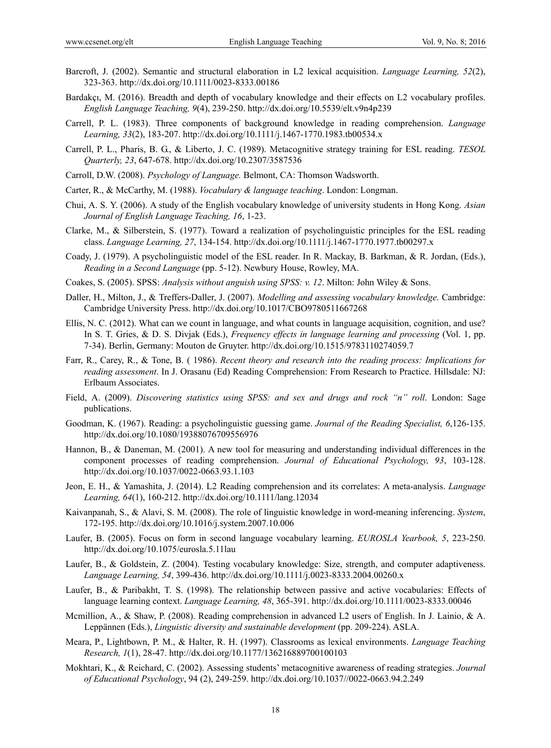- Barcroft, J. (2002). Semantic and structural elaboration in L2 lexical acquisition. *Language Learning, 52*(2), 323-363. http://dx.doi.org/10.1111/0023-8333.00186
- Bardakçı, M. (2016). Breadth and depth of vocabulary knowledge and their effects on L2 vocabulary profiles. *English Language Teaching, 9*(4), 239-250. http://dx.doi.org/10.5539/elt.v9n4p239
- Carrell, P. L. (1983). Three components of background knowledge in reading comprehension. *Language Learning, 33*(2), 183-207. http://dx.doi.org/10.1111/j.1467-1770.1983.tb00534.x
- Carrell, P. L., Pharis, B. G., & Liberto, J. C. (1989). Metacognitive strategy training for ESL reading. *TESOL Quarterly, 23*, 647-678. http://dx.doi.org/10.2307/3587536
- Carroll, D.W. (2008). *Psychology of Language.* Belmont, CA: Thomson Wadsworth.
- Carter, R., & McCarthy, M. (1988). *Vocabulary & language teaching*. London: Longman.
- Chui, A. S. Y. (2006). A study of the English vocabulary knowledge of university students in Hong Kong. *Asian Journal of English Language Teaching, 16*, 1-23.
- Clarke, M., & Silberstein, S. (1977). Toward a realization of psycholinguistic principles for the ESL reading class. *Language Learning, 27*, 134-154. http://dx.doi.org/10.1111/j.1467-1770.1977.tb00297.x
- Coady, J. (1979). A psycholinguistic model of the ESL reader. In R. Mackay, B. Barkman, & R. Jordan, (Eds.), *Reading in a Second Language* (pp. 5-12). Newbury House, Rowley, MA.
- Coakes, S. (2005). SPSS: *Analysis without anguish using SPSS: v. 12*. Milton: John Wiley & Sons.
- Daller, H., Milton, J., & Treffers-Daller, J. (2007). *Modelling and assessing vocabulary knowledge*. Cambridge: Cambridge University Press. http://dx.doi.org/10.1017/CBO9780511667268
- Ellis, N. C. (2012). What can we count in language, and what counts in language acquisition, cognition, and use? In S. T. Gries, & D. S. Divjak (Eds.), *Frequency effects in language learning and processing* (Vol. 1, pp. 7-34). Berlin, Germany: Mouton de Gruyter. http://dx.doi.org/10.1515/9783110274059.7
- Farr, R., Carey, R., & Tone, B. ( 1986). *Recent theory and research into the reading process: Implications for reading assessment*. In J. Orasanu (Ed) Reading Comprehension: From Research to Practice. Hillsdale: NJ: Erlbaum Associates.
- Field, A. (2009). *Discovering statistics using SPSS: and sex and drugs and rock "n" roll*. London: Sage publications.
- Goodman, K. (1967). Reading: a psycholinguistic guessing game. *Journal of the Reading Specialist, 6*,126-135. http://dx.doi.org/10.1080/19388076709556976
- Hannon, B., & Daneman, M. (2001). A new tool for measuring and understanding individual differences in the component processes of reading comprehension. *Journal of Educational Psychology, 93*, 103-128. http://dx.doi.org/10.1037/0022-0663.93.1.103
- Jeon, E. H., & Yamashita, J. (2014). L2 Reading comprehension and its correlates: A meta-analysis. *Language Learning, 64*(1), 160-212. http://dx.doi.org/10.1111/lang.12034
- Kaivanpanah, S., & Alavi, S. M. (2008). The role of linguistic knowledge in word-meaning inferencing. *System*, 172-195. http://dx.doi.org/10.1016/j.system.2007.10.006
- Laufer, B. (2005). Focus on form in second language vocabulary learning. *EUROSLA Yearbook, 5*, 223-250. http://dx.doi.org/10.1075/eurosla.5.11lau
- Laufer, B., & Goldstein, Z. (2004). Testing vocabulary knowledge: Size, strength, and computer adaptiveness. *Language Learning, 54*, 399-436. http://dx.doi.org/10.1111/j.0023-8333.2004.00260.x
- Laufer, B., & Paribakht, T. S. (1998). The relationship between passive and active vocabularies: Effects of language learning context. *Language Learning, 48*, 365-391. http://dx.doi.org/10.1111/0023-8333.00046
- Mcmillion, A., & Shaw, P. (2008). Reading comprehension in advanced L2 users of English. In J. Lainio, & A. Leppännen (Eds.), *Linguistic diversity and sustainable development* (pp. 209-224). ASLA.
- Meara, P., Lightbown, P. M., & Halter, R. H. (1997). Classrooms as lexical environments. *Language Teaching Research, 1*(1), 28-47. http://dx.doi.org/10.1177/136216889700100103
- Mokhtari, K., & Reichard, C. (2002). Assessing students' metacognitive awareness of reading strategies. *Journal of Educational Psychology*, 94 (2), 249-259. http://dx.doi.org/10.1037//0022-0663.94.2.249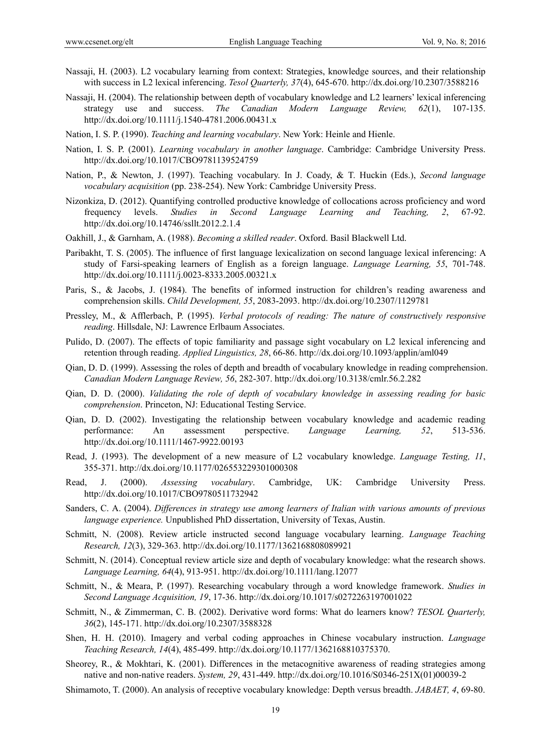- Nassaji, H. (2003). L2 vocabulary learning from context: Strategies, knowledge sources, and their relationship with success in L2 lexical inferencing. *Tesol Quarterly, 37*(4), 645-670. http://dx.doi.org/10.2307/3588216
- Nassaji, H. (2004). The relationship between depth of vocabulary knowledge and L2 learners' lexical inferencing strategy use and success. *The Canadian Modern Language Review, 62*(1), 107-135. http://dx.doi.org/10.1111/j.1540-4781.2006.00431.x
- Nation, I. S. P. (1990). *Teaching and learning vocabulary*. New York: Heinle and Hienle.
- Nation, I. S. P. (2001). *Learning vocabulary in another language*. Cambridge: Cambridge University Press. http://dx.doi.org/10.1017/CBO9781139524759
- Nation, P., & Newton, J. (1997). Teaching vocabulary. In J. Coady, & T. Huckin (Eds.), *Second language vocabulary acquisition* (pp. 238-254). New York: Cambridge University Press.
- Nizonkiza, D. (2012). Quantifying controlled productive knowledge of collocations across proficiency and word frequency levels. *Studies in Second Language Learning and Teaching, 2*, 67-92. http://dx.doi.org/10.14746/ssllt.2012.2.1.4
- Oakhill, J., & Garnham, A. (1988). *Becoming a skilled reader*. Oxford. Basil Blackwell Ltd.
- Paribakht, T. S. (2005). The influence of first language lexicalization on second language lexical inferencing: A study of Farsi-speaking learners of English as a foreign language. *Language Learning, 55*, 701-748. http://dx.doi.org/10.1111/j.0023-8333.2005.00321.x
- Paris, S., & Jacobs, J. (1984). The benefits of informed instruction for children's reading awareness and comprehension skills. *Child Development, 55*, 2083-2093. http://dx.doi.org/10.2307/1129781
- Pressley, M., & Afflerbach, P. (1995). *Verbal protocols of reading: The nature of constructively responsive reading*. Hillsdale, NJ: Lawrence Erlbaum Associates.
- Pulido, D. (2007). The effects of topic familiarity and passage sight vocabulary on L2 lexical inferencing and retention through reading. *Applied Linguistics, 28*, 66-86. http://dx.doi.org/10.1093/applin/aml049
- Qian, D. D. (1999). Assessing the roles of depth and breadth of vocabulary knowledge in reading comprehension. *Canadian Modern Language Review, 56*, 282-307. http://dx.doi.org/10.3138/cmlr.56.2.282
- Qian, D. D. (2000). *Validating the role of depth of vocabulary knowledge in assessing reading for basic comprehension*. Princeton, NJ: Educational Testing Service.
- Qian, D. D. (2002). Investigating the relationship between vocabulary knowledge and academic reading performance: An assessment perspective. *Language Learning, 52*, 513-536. http://dx.doi.org/10.1111/1467-9922.00193
- Read, J. (1993). The development of a new measure of L2 vocabulary knowledge. *Language Testing, 11*, 355-371. http://dx.doi.org/10.1177/026553229301000308
- Read, J. (2000). *Assessing vocabulary*. Cambridge, UK: Cambridge University Press. http://dx.doi.org/10.1017/CBO9780511732942
- Sanders, C. A. (2004). *Differences in strategy use among learners of Italian with various amounts of previous language experience.* Unpublished PhD dissertation, University of Texas, Austin.
- Schmitt, N. (2008). Review article instructed second language vocabulary learning. *Language Teaching Research, 12*(3), 329-363. http://dx.doi.org/10.1177/1362168808089921
- Schmitt, N. (2014). Conceptual review article size and depth of vocabulary knowledge: what the research shows. *Language Learning, 64*(4), 913-951. http://dx.doi.org/10.1111/lang.12077
- Schmitt, N., & Meara, P. (1997). Researching vocabulary through a word knowledge framework. *Studies in Second Language Acquisition, 19*, 17-36. http://dx.doi.org/10.1017/s0272263197001022
- Schmitt, N., & Zimmerman, C. B. (2002). Derivative word forms: What do learners know? *TESOL Quarterly, 36*(2), 145-171. http://dx.doi.org/10.2307/3588328
- Shen, H. H. (2010). Imagery and verbal coding approaches in Chinese vocabulary instruction. *Language Teaching Research, 14*(4), 485-499. http://dx.doi.org/10.1177/1362168810375370.
- Sheorey, R., & Mokhtari, K. (2001). Differences in the metacognitive awareness of reading strategies among native and non-native readers. *System, 29*, 431-449. http://dx.doi.org/10.1016/S0346-251X(01)00039-2
- Shimamoto, T. (2000). An analysis of receptive vocabulary knowledge: Depth versus breadth. *JABAET, 4*, 69-80.